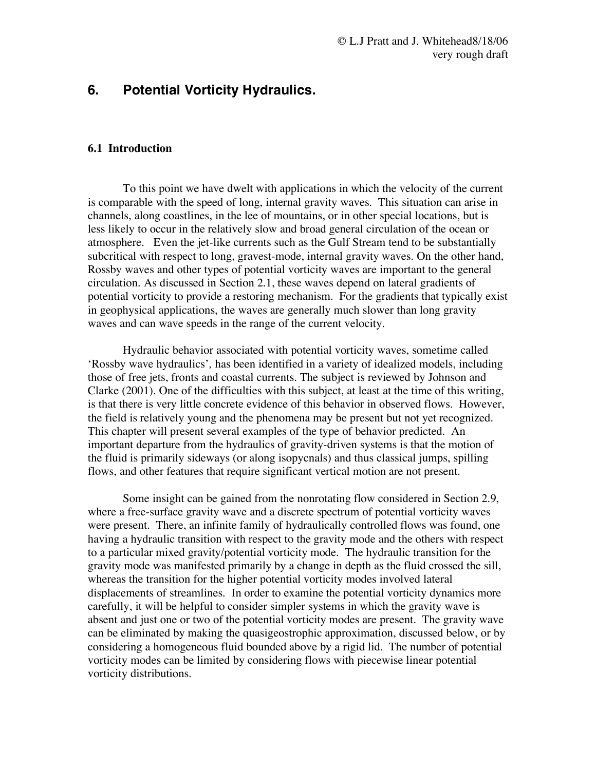## **6. Potential Vorticity Hydraulics.**

## **6.1 Introduction**

To this point we have dwelt with applications in which the velocity of the current is comparable with the speed of long, internal gravity waves. This situation can arise in channels, along coastlines, in the lee of mountains, or in other special locations, but is less likely to occur in the relatively slow and broad general circulation of the ocean or atmosphere. Even the jet-like currents such as the Gulf Stream tend to be substantially subcritical with respect to long, gravest-mode, internal gravity waves. On the other hand, Rossby waves and other types of potential vorticity waves are important to the general circulation. As discussed in Section 2.1, these waves depend on lateral gradients of potential vorticity to provide a restoring mechanism. For the gradients that typically exist in geophysical applications, the waves are generally much slower than long gravity waves and can wave speeds in the range of the current velocity.

Hydraulic behavior associated with potential vorticity waves, sometime called 'Rossby wave hydraulics'*,* has been identified in a variety of idealized models, including those of free jets, fronts and coastal currents. The subject is reviewed by Johnson and Clarke (2001). One of the difficulties with this subject, at least at the time of this writing, is that there is very little concrete evidence of this behavior in observed flows. However, the field is relatively young and the phenomena may be present but not yet recognized. This chapter will present several examples of the type of behavior predicted. An important departure from the hydraulics of gravity-driven systems is that the motion of the fluid is primarily sideways (or along isopycnals) and thus classical jumps, spilling flows, and other features that require significant vertical motion are not present.

Some insight can be gained from the nonrotating flow considered in Section 2.9, where a free-surface gravity wave and a discrete spectrum of potential vorticity waves were present. There, an infinite family of hydraulically controlled flows was found, one having a hydraulic transition with respect to the gravity mode and the others with respect to a particular mixed gravity/potential vorticity mode. The hydraulic transition for the gravity mode was manifested primarily by a change in depth as the fluid crossed the sill, whereas the transition for the higher potential vorticity modes involved lateral displacements of streamlines. In order to examine the potential vorticity dynamics more carefully, it will be helpful to consider simpler systems in which the gravity wave is absent and just one or two of the potential vorticity modes are present. The gravity wave can be eliminated by making the quasigeostrophic approximation, discussed below, or by considering a homogeneous fluid bounded above by a rigid lid. The number of potential vorticity modes can be limited by considering flows with piecewise linear potential vorticity distributions.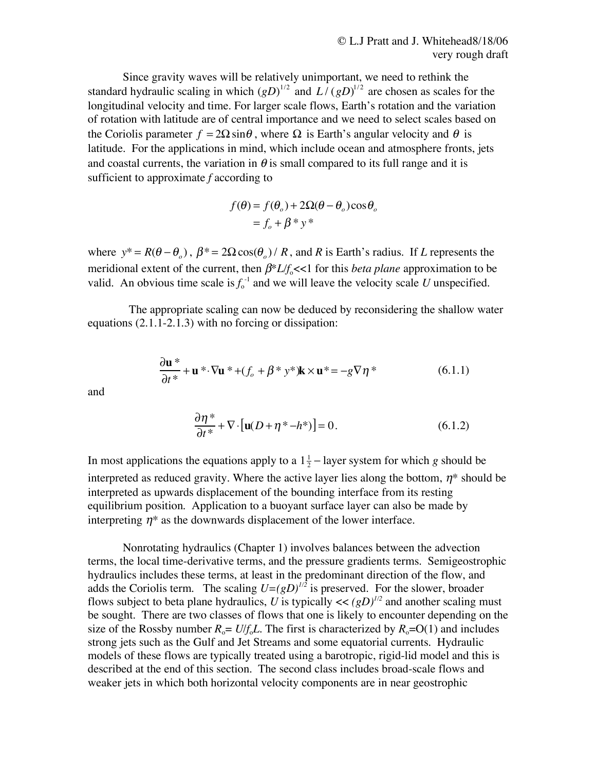Since gravity waves will be relatively unimportant, we need to rethink the standard hydraulic scaling in which  $(gD)^{1/2}$  and  $L/(gD)^{1/2}$  are chosen as scales for the longitudinal velocity and time. For larger scale flows, Earth's rotation and the variation of rotation with latitude are of central importance and we need to select scales based on the Coriolis parameter  $f = 2\Omega \sin\theta$ , where  $\Omega$  is Earth's angular velocity and  $\theta$  is latitude. For the applications in mind, which include ocean and atmosphere fronts, jets and coastal currents, the variation in  $\theta$  is small compared to its full range and it is sufficient to approximate *f* according to

$$
f(\theta) = f(\theta_o) + 2\Omega(\theta - \theta_o)\cos\theta_o
$$
  
=  $f_o + \beta * y *$ 

where  $y^* = R(\theta - \theta_o)$ ,  $\beta^* = 2\Omega \cos(\theta_o) / R$ , and *R* is Earth's radius. If *L* represents the meridional extent of the current, then  $\beta^*L/f_s \ll 1$  for this *beta plane* approximation to be valid. An obvious time scale is  $f_0^{-1}$  and we will leave the velocity scale *U* unspecified.

The appropriate scaling can now be deduced by reconsidering the shallow water equations (2.1.1-2.1.3) with no forcing or dissipation:

$$
\frac{\partial \mathbf{u}^*}{\partial t^*} + \mathbf{u}^* \cdot \nabla \mathbf{u}^* + (f_o + \beta^* y^*) \mathbf{k} \times \mathbf{u}^* = -g \nabla \eta^* \tag{6.1.1}
$$

and

$$
\frac{\partial \eta^*}{\partial t^*} + \nabla \cdot \left[ \mathbf{u}(D + \eta^* - h^*) \right] = 0. \tag{6.1.2}
$$

In most applications the equations apply to a  $1\frac{1}{2}$  – layer system for which *g* should be interpreted as reduced gravity. Where the active layer lies along the bottom,  $\eta^*$  should be interpreted as upwards displacement of the bounding interface from its resting equilibrium position. Application to a buoyant surface layer can also be made by interpreting  $\eta^*$  as the downwards displacement of the lower interface.

Nonrotating hydraulics (Chapter 1) involves balances between the advection terms, the local time-derivative terms, and the pressure gradients terms. Semigeostrophic hydraulics includes these terms, at least in the predominant direction of the flow, and adds the Coriolis term. The scaling  $U=(gD)^{1/2}$  is preserved. For the slower, broader flows subject to beta plane hydraulics, U is typically  $\ll (gD)^{1/2}$  and another scaling must be sought. There are two classes of flows that one is likely to encounter depending on the size of the Rossby number  $R_0 = U/f_0L$ . The first is characterized by  $R_0 = O(1)$  and includes strong jets such as the Gulf and Jet Streams and some equatorial currents. Hydraulic models of these flows are typically treated using a barotropic, rigid-lid model and this is described at the end of this section. The second class includes broad-scale flows and weaker jets in which both horizontal velocity components are in near geostrophic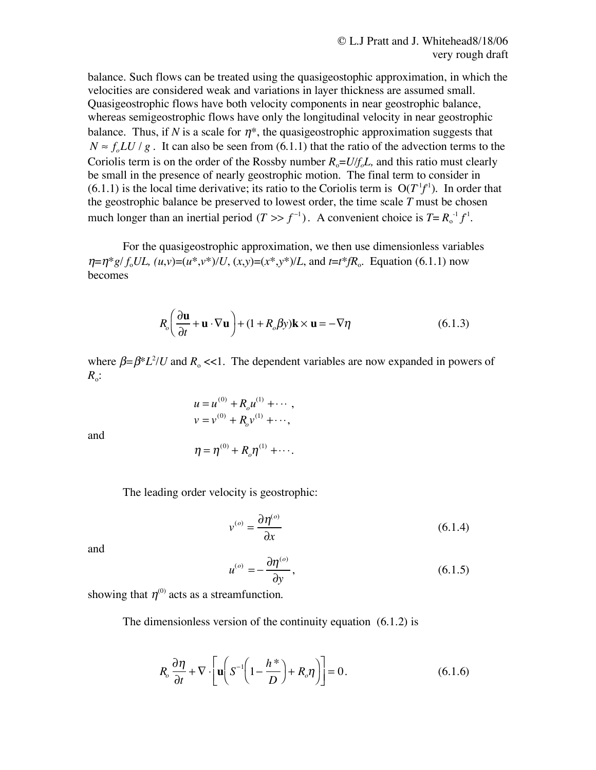balance. Such flows can be treated using the quasigeostophic approximation, in which the velocities are considered weak and variations in layer thickness are assumed small. Quasigeostrophic flows have both velocity components in near geostrophic balance, whereas semigeostrophic flows have only the longitudinal velocity in near geostrophic balance. Thus, if N is a scale for  $\eta^*$ , the quasigeostrophic approximation suggests that  $N \approx f_0 L U / g$ . It can also be seen from (6.1.1) that the ratio of the advection terms to the Coriolis term is on the order of the Rossby number  $R_0 = U/f_0 L$ , and this ratio must clearly be small in the presence of nearly geostrophic motion. The final term to consider in  $(6.1.1)$  is the local time derivative; its ratio to the Coriolis term is  $O(T<sup>1</sup>f<sup>1</sup>)$ . In order that the geostrophic balance be preserved to lowest order, the time scale *T* must be chosen much longer than an inertial period  $(T \gg f^{-1})$ . A convenient choice is  $T = R_0^{-1} f^1$ .

For the quasigeostrophic approximation, we then use dimensionless variables  $\eta = \eta * g/f_0UL$ ,  $(u,v)=(u^*,v^*)/U$ ,  $(x,y)=(x^*,v^*)/L$ , and  $t=t^*fR_0$ . Equation (6.1.1) now becomes

$$
R_o \left( \frac{\partial \mathbf{u}}{\partial t} + \mathbf{u} \cdot \nabla \mathbf{u} \right) + (1 + R_o \beta y) \mathbf{k} \times \mathbf{u} = -\nabla \eta
$$
 (6.1.3)

where  $\beta = \beta^* L^2 / U$  and  $R_0 \ll 1$ . The dependent variables are now expanded in powers of  $R_{\circ}$ :

$$
u = u^{(0)} + R_o u^{(1)} + \cdots ,
$$
  

$$
v = v^{(0)} + R_o v^{(1)} + \cdots ,
$$

and

$$
\eta = \eta^{(0)} + R_o \eta^{(1)} + \cdots
$$

The leading order velocity is geostrophic:

$$
v^{(o)} = \frac{\partial \eta^{(o)}}{\partial x}
$$
 (6.1.4)

and

$$
u^{(o)} = -\frac{\partial \eta^{(o)}}{\partial y},\tag{6.1.5}
$$

showing that  $\eta^{(0)}$  acts as a streamfunction.

The dimensionless version of the continuity equation (6.1.2) is

$$
R_o \frac{\partial \eta}{\partial t} + \nabla \cdot \left[ \mathbf{u} \left( S^{-1} \left( 1 - \frac{h^*}{D} \right) + R_o \eta \right) \right] = 0. \tag{6.1.6}
$$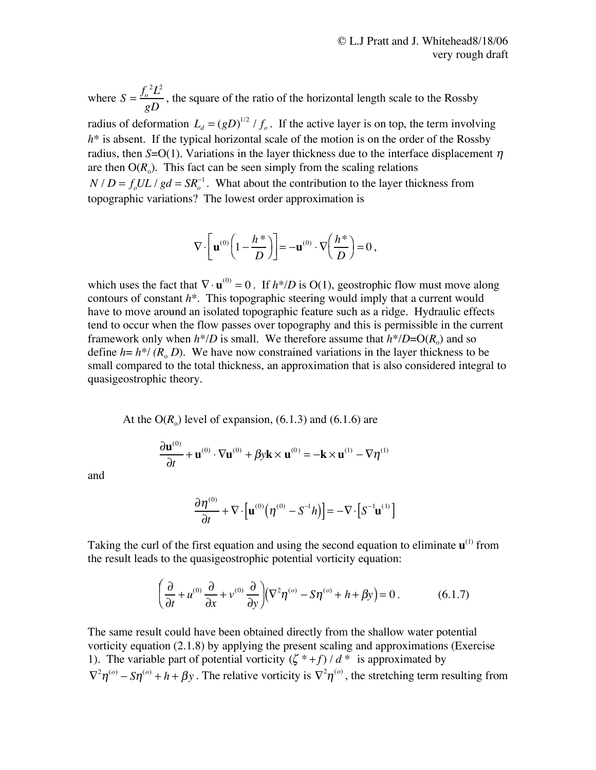where  $S = \frac{f_o^2 L^2}{D}$  $\frac{\partial^2}{\partial B}$ , the square of the ratio of the horizontal length scale to the Rossby radius of deformation  $L_d = (gD)^{1/2}/f_o$ . If the active layer is on top, the term involving *h*\* is absent. If the typical horizontal scale of the motion is on the order of the Rossby radius, then  $S=O(1)$ . Variations in the layer thickness due to the interface displacement  $\eta$ are then  $O(R_0)$ . This fact can be seen simply from the scaling relations  $N/D = f_o U L / g d = S R_o^{-1}$ . What about the contribution to the layer thickness from topographic variations? The lowest order approximation is

$$
\nabla \cdot \left[ \mathbf{u}^{(0)} \left( 1 - \frac{h^*}{D} \right) \right] = -\mathbf{u}^{(0)} \cdot \nabla \left( \frac{h^*}{D} \right) = 0,
$$

which uses the fact that  $\nabla \cdot \mathbf{u}^{(0)} = 0$ . If  $h^*/D$  is O(1), geostrophic flow must move along contours of constant *h*\*. This topographic steering would imply that a current would have to move around an isolated topographic feature such as a ridge. Hydraulic effects tend to occur when the flow passes over topography and this is permissible in the current framework only when  $h^*/D$  is small. We therefore assume that  $h^*/D=O(R_0)$  and so define  $h = h^*/(R_0 D)$ . We have now constrained variations in the layer thickness to be small compared to the total thickness, an approximation that is also considered integral to quasigeostrophic theory.

At the  $O(R_0)$  level of expansion, (6.1.3) and (6.1.6) are

$$
\frac{\partial \mathbf{u}^{(0)}}{\partial t} + \mathbf{u}^{(0)} \cdot \nabla \mathbf{u}^{(0)} + \beta y \mathbf{k} \times \mathbf{u}^{(0)} = -\mathbf{k} \times \mathbf{u}^{(1)} - \nabla \eta^{(1)}
$$

and

$$
\frac{\partial \boldsymbol{\eta}^{(0)}}{\partial t} + \nabla \cdot \left[ \mathbf{u}^{(0)} \left( \boldsymbol{\eta}^{(0)} - S^{-1} h \right) \right] = - \nabla \cdot \left[ S^{-1} \mathbf{u}^{(1)} \right]
$$

Taking the curl of the first equation and using the second equation to eliminate **u**(1) from the result leads to the quasigeostrophic potential vorticity equation:

$$
\left(\frac{\partial}{\partial t} + u^{(0)}\frac{\partial}{\partial x} + v^{(0)}\frac{\partial}{\partial y}\right) (\nabla^2 \eta^{(o)} - S\eta^{(o)} + h + \beta y) = 0.
$$
 (6.1.7)

The same result could have been obtained directly from the shallow water potential vorticity equation (2.1.8) by applying the present scaling and approximations (Exercise 1). The variable part of potential vorticity  $(\zeta^* + f) / d^*$  is approximated by  $\nabla^2 \eta^{(o)} - S\eta^{(o)} + h + \beta y$ . The relative vorticity is  $\nabla^2 \eta^{(o)}$ , the stretching term resulting from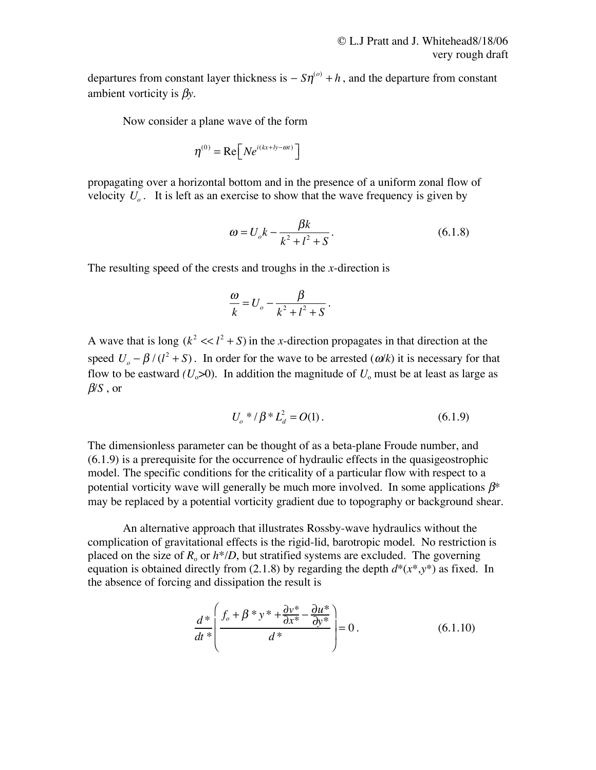departures from constant layer thickness is  $- S\eta^{(o)} + h$ , and the departure from constant ambient vorticity is β*y*.

Now consider a plane wave of the form

$$
\eta^{(0)} = \text{Re}\big[N e^{i(kx+ly-\omega t)}\big]
$$

propagating over a horizontal bottom and in the presence of a uniform zonal flow of velocity  $U<sub>o</sub>$ . It is left as an exercise to show that the wave frequency is given by

$$
\omega = U_o k - \frac{\beta k}{k^2 + l^2 + S}.
$$
\n(6.1.8)

The resulting speed of the crests and troughs in the *x*-direction is

$$
\frac{\omega}{k} = U_o - \frac{\beta}{k^2 + l^2 + S}.
$$

A wave that is long  $(k^2 \ll l^2 + S)$  in the *x*-direction propagates in that direction at the speed  $U_o - \beta/(l^2 + S)$ . In order for the wave to be arrested  $(\omega/k)$  it is necessary for that flow to be eastward  $(U_0>0)$ . In addition the magnitude of  $U_0$  must be at least as large as β/*S* , or

$$
U_o * / \beta * L_d^2 = O(1). \tag{6.1.9}
$$

The dimensionless parameter can be thought of as a beta-plane Froude number, and (6.1.9) is a prerequisite for the occurrence of hydraulic effects in the quasigeostrophic model. The specific conditions for the criticality of a particular flow with respect to a potential vorticity wave will generally be much more involved. In some applications  $\beta^*$ may be replaced by a potential vorticity gradient due to topography or background shear.

An alternative approach that illustrates Rossby-wave hydraulics without the complication of gravitational effects is the rigid-lid, barotropic model. No restriction is placed on the size of  $R_0$  or  $h^*/D$ , but stratified systems are excluded. The governing equation is obtained directly from (2.1.8) by regarding the depth  $d^*(x^*,y^*)$  as fixed. In the absence of forcing and dissipation the result is

$$
\frac{d^*}{dt^*} \left( \frac{f_o + \beta^* y^* + \frac{\partial v^*}{\partial x^*} - \frac{\partial u^*}{\partial y^*}}{d^*} \right) = 0. \tag{6.1.10}
$$